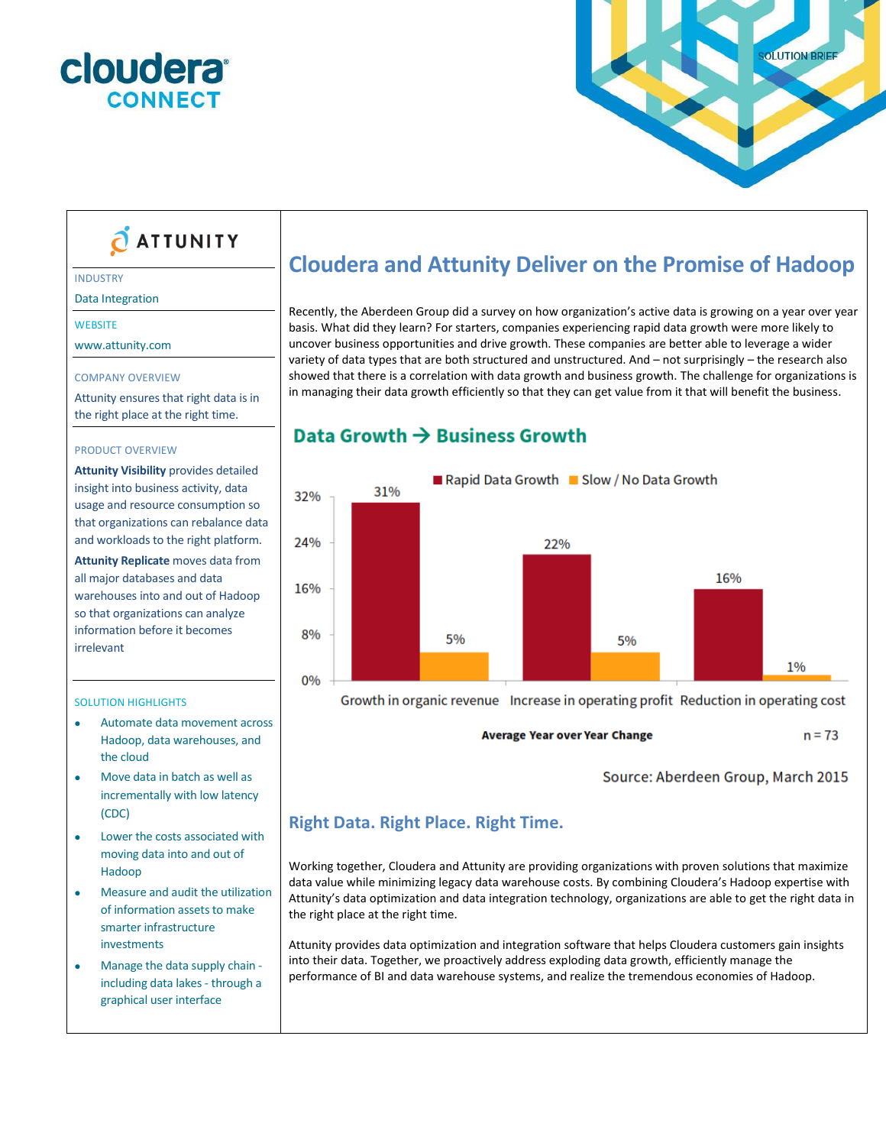



# **O ATTUNITY**

#### INDUSTRY

Data Integration

#### **WEBSITE**

www.attunity.com

#### COMPANY OVERVIEW

Attunity ensures that right data is in the right place at the right time.

#### PRODUCT OVERVIEW

**Attunity Visibility** provides detailed insight into business activity, data usage and resource consumption so that organizations can rebalance data and workloads to the right platform.

**Attunity Replicate** moves data from all major databases and data warehouses into and out of Hadoop so that organizations can analyze information before it becomes irrelevant

#### SOLUTION HIGHLIGHTS

- Automate data movement across Hadoop, data warehouses, and the cloud
- Move data in batch as well as incrementally with low latency (CDC)
- Lower the costs associated with moving data into and out of Hadoop
- Measure and audit the utilization of information assets to make smarter infrastructure investments
- Manage the data supply chain including data lakes - through a graphical user interface

# **Cloudera and Attunity Deliver on the Promise of Hadoop**

Recently, the [Aberdeen Group](http://www.aberdeen.com/) did a survey on how organization's active data is growing on a year over year basis. What did they learn? For starters, companies experiencing rapid data growth were more likely to uncover business opportunities and drive growth. These companies are better able to leverage a wider variety of data types that are both structured and unstructured. And – not surprisingly – [the](http://www.aberdeen.com/) research also showed that there is a correlation with data growth and business growth. The challenge for organizations is in managing their data growth efficiently so that they can get value from it that will benefit the business.

## Data Growth  $\rightarrow$  Business Growth



Growth in organic revenue Increase in operating profit Reduction in operating cost

**Average Year over Year Change** 

Source: Aberdeen Group, March 2015

 $n = 73$ 

## **Right Data. Right Place. Right Time.**

Working together, Cloudera and Attunity are providing organizations with proven solutions that maximize data value while minimizing legacy data warehouse costs. By combining Cloudera's Hadoop expertise with Attunity's data optimization and data integration technology, organizations are able to get the right data in the right place at the right time.

Attunity provides data optimization and integration software that helps Cloudera customers gain insights into their data. Together, we proactively address exploding data growth, efficiently manage the performance of BI and data warehouse systems, and realize the tremendous economies of Hadoop.